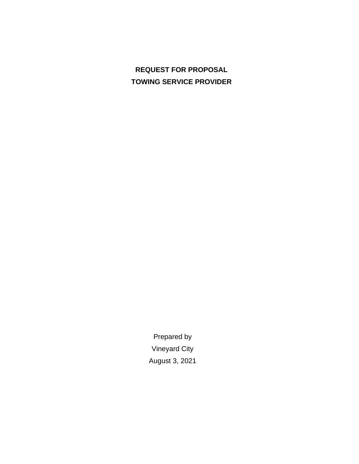# **REQUEST FOR PROPOSAL TOWING SERVICE PROVIDER**

Prepared by Vineyard City August 3, 2021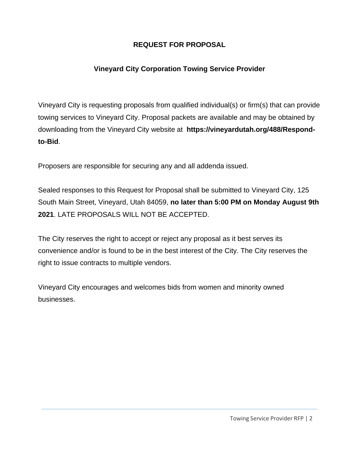## **REQUEST FOR PROPOSAL**

# **Vineyard City Corporation Towing Service Provider**

Vineyard City is requesting proposals from qualified individual(s) or firm(s) that can provide towing services to Vineyard City. Proposal packets are available and may be obtained by downloading from the Vineyard City website at **[https://vineyardutah.org/488/Respond](http://ogdencity.com/264/Purchasing)[to-Bid](http://ogdencity.com/264/Purchasing)**.

Proposers are responsible for securing any and all addenda issued.

Sealed responses to this Request for Proposal shall be submitted to Vineyard City, 125 South Main Street, Vineyard, Utah 84059, **no later than 5:00 PM on Monday August 9th 2021**. LATE PROPOSALS WILL NOT BE ACCEPTED.

The City reserves the right to accept or reject any proposal as it best serves its convenience and/or is found to be in the best interest of the City. The City reserves the right to issue contracts to multiple vendors.

Vineyard City encourages and welcomes bids from women and minority owned businesses.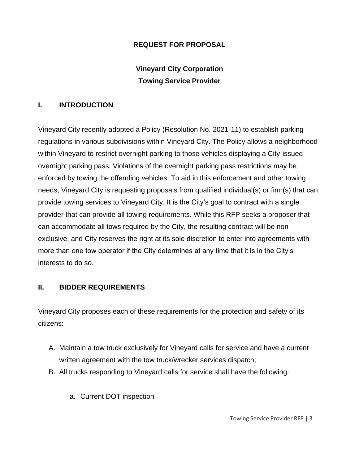#### **REQUEST FOR PROPOSAL**

# **Vineyard City Corporation Towing Service Provider**

#### **I. INTRODUCTION**

Vineyard City recently adopted a Policy (Resolution No. 2021-11) to establish parking regulations in various subdivisions within Vineyard City. The Policy allows a neighborhood within Vineyard to restrict overnight parking to those vehicles displaying a City-issued overnight parking pass. Violations of the overnight parking pass restrictions may be enforced by towing the offending vehicles. To aid in this enforcement and other towing needs, Vineyard City is requesting proposals from qualified individual(s) or firm(s) that can provide towing services to Vineyard City. It is the City's goal to contract with a single provider that can provide all towing requirements. While this RFP seeks a proposer that can accommodate all tows required by the City, the resulting contract will be nonexclusive, and City reserves the right at its sole discretion to enter into agreements with more than one tow operator if the City determines at any time that it is in the City's interests to do so.

#### **II. BIDDER REQUIREMENTS**

Vineyard City proposes each of these requirements for the protection and safety of its citizens:

- A. Maintain a tow truck exclusively for Vineyard calls for service and have a current written agreement with the tow truck/wrecker services dispatch;
- B. All trucks responding to Vineyard calls for service shall have the following:
	- a. Current DOT inspection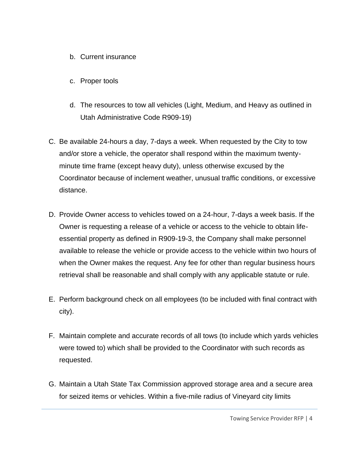- b. Current insurance
- c. Proper tools
- d. The resources to tow all vehicles (Light, Medium, and Heavy as outlined in Utah Administrative Code R909-19)
- C. Be available 24-hours a day, 7-days a week. When requested by the City to tow and/or store a vehicle, the operator shall respond within the maximum twentyminute time frame (except heavy duty), unless otherwise excused by the Coordinator because of inclement weather, unusual traffic conditions, or excessive distance.
- D. Provide Owner access to vehicles towed on a 24-hour, 7-days a week basis. If the Owner is requesting a release of a vehicle or access to the vehicle to obtain lifeessential property as defined in R909-19-3, the Company shall make personnel available to release the vehicle or provide access to the vehicle within two hours of when the Owner makes the request. Any fee for other than regular business hours retrieval shall be reasonable and shall comply with any applicable statute or rule.
- E. Perform background check on all employees (to be included with final contract with city).
- F. Maintain complete and accurate records of all tows (to include which yards vehicles were towed to) which shall be provided to the Coordinator with such records as requested.
- G. Maintain a Utah State Tax Commission approved storage area and a secure area for seized items or vehicles. Within a five-mile radius of Vineyard city limits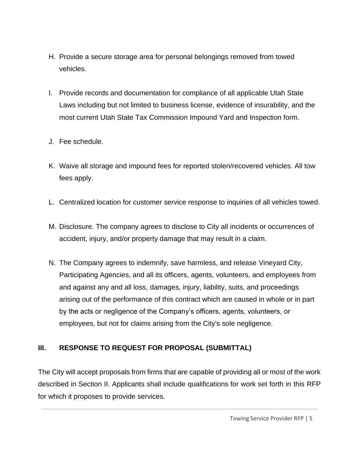- H. Provide a secure storage area for personal belongings removed from towed vehicles.
- I. Provide records and documentation for compliance of all applicable Utah State Laws including but not limited to business license, evidence of insurability, and the most current Utah State Tax Commission Impound Yard and Inspection form.
- J. Fee schedule.
- K. Waive all storage and impound fees for reported stolen/recovered vehicles. All tow fees apply.
- L. Centralized location for customer service response to inquiries of all vehicles towed.
- M. Disclosure. The company agrees to disclose to City all incidents or occurrences of accident, injury, and/or property damage that may result in a claim.
- N. The Company agrees to indemnify, save harmless, and release Vineyard City, Participating Agencies, and all its officers, agents, volunteers, and employees from and against any and all loss, damages, injury, liability, suits, and proceedings arising out of the performance of this contract which are caused in whole or in part by the acts or negligence of the Company's officers, agents, volunteers, or employees, but not for claims arising from the City's sole negligence.

#### **III. RESPONSE TO REQUEST FOR PROPOSAL (SUBMITTAL)**

The City will accept proposals from firms that are capable of providing all or most of the work described in Section II. Applicants shall include qualifications for work set forth in this RFP for which it proposes to provide services.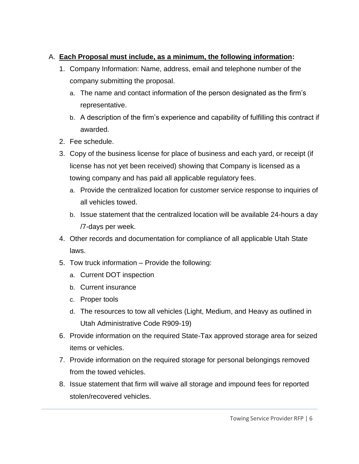## A. **Each Proposal must include, as a minimum, the following information:**

- 1. Company Information: Name, address, email and telephone number of the company submitting the proposal.
	- a. The name and contact information of the person designated as the firm's representative.
	- b. A description of the firm's experience and capability of fulfilling this contract if awarded.
- 2. Fee schedule.
- 3. Copy of the business license for place of business and each yard, or receipt (if license has not yet been received) showing that Company is licensed as a towing company and has paid all applicable regulatory fees.
	- a. Provide the centralized location for customer service response to inquiries of all vehicles towed.
	- b. Issue statement that the centralized location will be available 24-hours a day /7-days per week.
- 4. Other records and documentation for compliance of all applicable Utah State laws.
- 5. Tow truck information Provide the following:
	- a. Current DOT inspection
	- b. Current insurance
	- c. Proper tools
	- d. The resources to tow all vehicles (Light, Medium, and Heavy as outlined in Utah Administrative Code R909-19)
- 6. Provide information on the required State-Tax approved storage area for seized items or vehicles.
- 7. Provide information on the required storage for personal belongings removed from the towed vehicles.
- 8. Issue statement that firm will waive all storage and impound fees for reported stolen/recovered vehicles.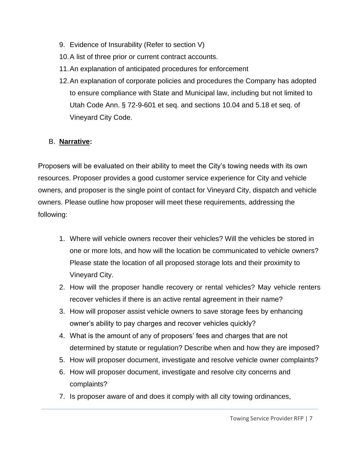- 9. Evidence of Insurability (Refer to section V)
- 10.A list of three prior or current contract accounts.
- 11.An explanation of anticipated procedures for enforcement
- 12.An explanation of corporate policies and procedures the Company has adopted to ensure compliance with State and Municipal law, including but not limited to Utah Code Ann. § 72-9-601 et seq. and sections 10.04 and 5.18 et seq. of Vineyard City Code.

#### B. **Narrative:**

Proposers will be evaluated on their ability to meet the City's towing needs with its own resources. Proposer provides a good customer service experience for City and vehicle owners, and proposer is the single point of contact for Vineyard City, dispatch and vehicle owners. Please outline how proposer will meet these requirements, addressing the following:

- 1. Where will vehicle owners recover their vehicles? Will the vehicles be stored in one or more lots, and how will the location be communicated to vehicle owners? Please state the location of all proposed storage lots and their proximity to Vineyard City.
- 2. How will the proposer handle recovery or rental vehicles? May vehicle renters recover vehicles if there is an active rental agreement in their name?
- 3. How will proposer assist vehicle owners to save storage fees by enhancing owner's ability to pay charges and recover vehicles quickly?
- 4. What is the amount of any of proposers' fees and charges that are not determined by statute or regulation? Describe when and how they are imposed?
- 5. How will proposer document, investigate and resolve vehicle owner complaints?
- 6. How will proposer document, investigate and resolve city concerns and complaints?
- 7. Is proposer aware of and does it comply with all city towing ordinances,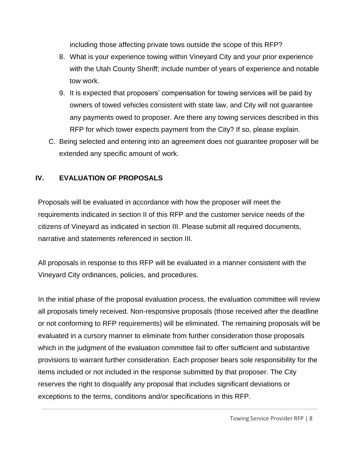including those affecting private tows outside the scope of this RFP?

- 8. What is your experience towing within Vineyard City and your prior experience with the Utah County Sheriff; include number of years of experience and notable tow work.
- 9. It is expected that proposers' compensation for towing services will be paid by owners of towed vehicles consistent with state law, and City will not guarantee any payments owed to proposer. Are there any towing services described in this RFP for which tower expects payment from the City? If so, please explain.
- C. Being selected and entering into an agreement does not guarantee proposer will be extended any specific amount of work.

## **IV. EVALUATION OF PROPOSALS**

Proposals will be evaluated in accordance with how the proposer will meet the requirements indicated in section II of this RFP and the customer service needs of the citizens of Vineyard as indicated in section III. Please submit all required documents, narrative and statements referenced in section III.

All proposals in response to this RFP will be evaluated in a manner consistent with the Vineyard City ordinances, policies, and procedures.

In the initial phase of the proposal evaluation process, the evaluation committee will review all proposals timely received. Non-responsive proposals (those received after the deadline or not conforming to RFP requirements) will be eliminated. The remaining proposals will be evaluated in a cursory manner to eliminate from further consideration those proposals which in the judgment of the evaluation committee fail to offer sufficient and substantive provisions to warrant further consideration. Each proposer bears sole responsibility for the items included or not included in the response submitted by that proposer. The City reserves the right to disqualify any proposal that includes significant deviations or exceptions to the terms, conditions and/or specifications in this RFP.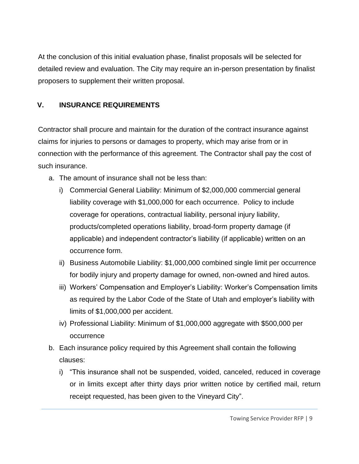At the conclusion of this initial evaluation phase, finalist proposals will be selected for detailed review and evaluation. The City may require an in-person presentation by finalist proposers to supplement their written proposal.

## **V. INSURANCE REQUIREMENTS**

Contractor shall procure and maintain for the duration of the contract insurance against claims for injuries to persons or damages to property, which may arise from or in connection with the performance of this agreement. The Contractor shall pay the cost of such insurance.

- a. The amount of insurance shall not be less than:
	- i) Commercial General Liability: Minimum of \$2,000,000 commercial general liability coverage with \$1,000,000 for each occurrence. Policy to include coverage for operations, contractual liability, personal injury liability, products/completed operations liability, broad-form property damage (if applicable) and independent contractor's liability (if applicable) written on an occurrence form.
	- ii) Business Automobile Liability: \$1,000,000 combined single limit per occurrence for bodily injury and property damage for owned, non-owned and hired autos.
	- iii) Workers' Compensation and Employer's Liability: Worker's Compensation limits as required by the Labor Code of the State of Utah and employer's liability with limits of \$1,000,000 per accident.
	- iv) Professional Liability: Minimum of \$1,000,000 aggregate with \$500,000 per occurrence
- b. Each insurance policy required by this Agreement shall contain the following clauses:
	- i) "This insurance shall not be suspended, voided, canceled, reduced in coverage or in limits except after thirty days prior written notice by certified mail, return receipt requested, has been given to the Vineyard City".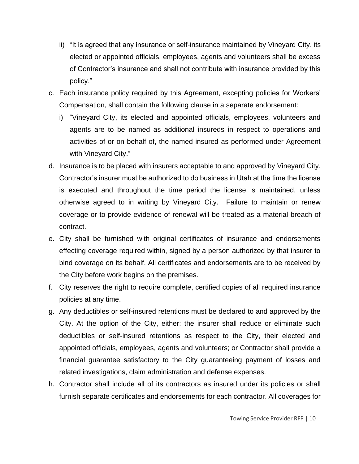- ii) "It is agreed that any insurance or self-insurance maintained by Vineyard City, its elected or appointed officials, employees, agents and volunteers shall be excess of Contractor's insurance and shall not contribute with insurance provided by this policy."
- c. Each insurance policy required by this Agreement, excepting policies for Workers' Compensation, shall contain the following clause in a separate endorsement:
	- i) "Vineyard City, its elected and appointed officials, employees, volunteers and agents are to be named as additional insureds in respect to operations and activities of or on behalf of, the named insured as performed under Agreement with Vineyard City."
- d. Insurance is to be placed with insurers acceptable to and approved by Vineyard City. Contractor's insurer must be authorized to do business in Utah at the time the license is executed and throughout the time period the license is maintained, unless otherwise agreed to in writing by Vineyard City. Failure to maintain or renew coverage or to provide evidence of renewal will be treated as a material breach of contract.
- e. City shall be furnished with original certificates of insurance and endorsements effecting coverage required within, signed by a person authorized by that insurer to bind coverage on its behalf. All certificates and endorsements are to be received by the City before work begins on the premises.
- f. City reserves the right to require complete, certified copies of all required insurance policies at any time.
- g. Any deductibles or self-insured retentions must be declared to and approved by the City. At the option of the City, either: the insurer shall reduce or eliminate such deductibles or self-insured retentions as respect to the City, their elected and appointed officials, employees, agents and volunteers; or Contractor shall provide a financial guarantee satisfactory to the City guaranteeing payment of losses and related investigations, claim administration and defense expenses.
- h. Contractor shall include all of its contractors as insured under its policies or shall furnish separate certificates and endorsements for each contractor. All coverages for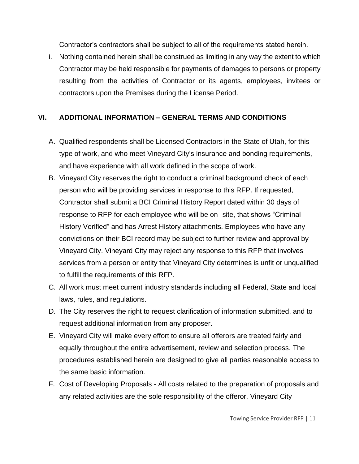Contractor's contractors shall be subject to all of the requirements stated herein.

i. Nothing contained herein shall be construed as limiting in any way the extent to which Contractor may be held responsible for payments of damages to persons or property resulting from the activities of Contractor or its agents, employees, invitees or contractors upon the Premises during the License Period.

#### **VI. ADDITIONAL INFORMATION – GENERAL TERMS AND CONDITIONS**

- A. Qualified respondents shall be Licensed Contractors in the State of Utah, for this type of work, and who meet Vineyard City's insurance and bonding requirements, and have experience with all work defined in the scope of work.
- B. Vineyard City reserves the right to conduct a criminal background check of each person who will be providing services in response to this RFP. If requested, Contractor shall submit a BCI Criminal History Report dated within 30 days of response to RFP for each employee who will be on- site, that shows "Criminal History Verified" and has Arrest History attachments. Employees who have any convictions on their BCI record may be subject to further review and approval by Vineyard City. Vineyard City may reject any response to this RFP that involves services from a person or entity that Vineyard City determines is unfit or unqualified to fulfill the requirements of this RFP.
- C. All work must meet current industry standards including all Federal, State and local laws, rules, and regulations.
- D. The City reserves the right to request clarification of information submitted, and to request additional information from any proposer.
- E. Vineyard City will make every effort to ensure all offerors are treated fairly and equally throughout the entire advertisement, review and selection process. The procedures established herein are designed to give all parties reasonable access to the same basic information.
- F. Cost of Developing Proposals All costs related to the preparation of proposals and any related activities are the sole responsibility of the offeror. Vineyard City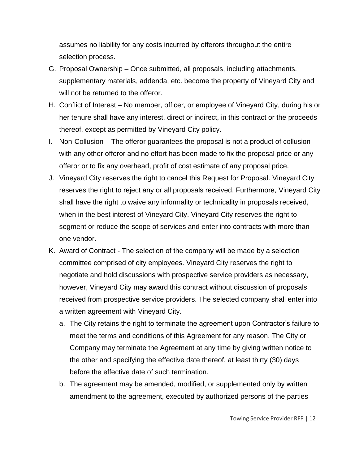assumes no liability for any costs incurred by offerors throughout the entire selection process.

- G. Proposal Ownership Once submitted, all proposals, including attachments, supplementary materials, addenda, etc. become the property of Vineyard City and will not be returned to the offeror.
- H. Conflict of Interest No member, officer, or employee of Vineyard City, during his or her tenure shall have any interest, direct or indirect, in this contract or the proceeds thereof, except as permitted by Vineyard City policy.
- I. Non-Collusion The offeror guarantees the proposal is not a product of collusion with any other offeror and no effort has been made to fix the proposal price or any offeror or to fix any overhead, profit of cost estimate of any proposal price.
- J. Vineyard City reserves the right to cancel this Request for Proposal. Vineyard City reserves the right to reject any or all proposals received. Furthermore, Vineyard City shall have the right to waive any informality or technicality in proposals received, when in the best interest of Vineyard City. Vineyard City reserves the right to segment or reduce the scope of services and enter into contracts with more than one vendor.
- K. Award of Contract The selection of the company will be made by a selection committee comprised of city employees. Vineyard City reserves the right to negotiate and hold discussions with prospective service providers as necessary, however, Vineyard City may award this contract without discussion of proposals received from prospective service providers. The selected company shall enter into a written agreement with Vineyard City.
	- a. The City retains the right to terminate the agreement upon Contractor's failure to meet the terms and conditions of this Agreement for any reason. The City or Company may terminate the Agreement at any time by giving written notice to the other and specifying the effective date thereof, at least thirty (30) days before the effective date of such termination.
	- b. The agreement may be amended, modified, or supplemented only by written amendment to the agreement, executed by authorized persons of the parties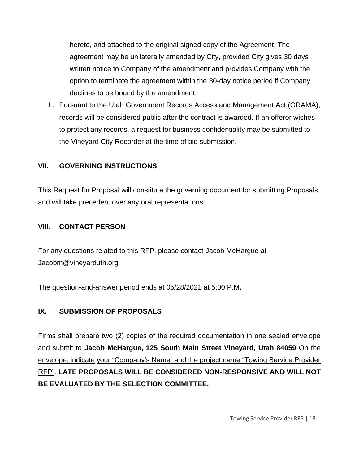hereto, and attached to the original signed copy of the Agreement. The agreement may be unilaterally amended by City, provided City gives 30 days written notice to Company of the amendment and provides Company with the option to terminate the agreement within the 30-day notice period if Company declines to be bound by the amendment.

L. Pursuant to the Utah Government Records Access and Management Act (GRAMA), records will be considered public after the contract is awarded. If an offeror wishes to protect any records, a request for business confidentiality may be submitted to the Vineyard City Recorder at the time of bid submission.

#### **VII. GOVERNING INSTRUCTIONS**

This Request for Proposal will constitute the governing document for submitting Proposals and will take precedent over any oral representations.

#### **VIII. CONTACT PERSON**

For any questions related to this RFP, please contact Jacob McHargue at Jacobm@vineyarduth.org

The question-and-answer period ends at 05/28/2021 at 5:00 P.M**.**

#### **IX. SUBMISSION OF PROPOSALS**

Firms shall prepare two (2) copies of the required documentation in one sealed envelope and submit to **Jacob McHargue, 125 South Main Street Vineyard, Utah 84059** On the envelope, indicate your "Company's Name" and the project name "Towing Service Provider RFP". **LATE PROPOSALS WILL BE CONSIDERED NON-RESPONSIVE AND WILL NOT BE EVALUATED BY THE SELECTION COMMITTEE.**